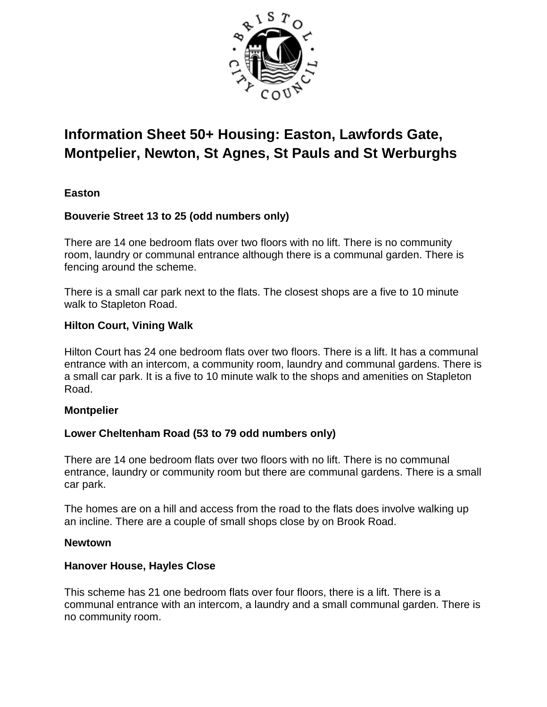

# **Information Sheet 50+ Housing: Easton, Lawfords Gate, Montpelier, Newton, St Agnes, St Pauls and St Werburghs**

# **Easton**

# **Bouverie Street 13 to 25 (odd numbers only)**

There are 14 one bedroom flats over two floors with no lift. There is no community room, laundry or communal entrance although there is a communal garden. There is fencing around the scheme.

There is a small car park next to the flats. The closest shops are a five to 10 minute walk to Stapleton Road.

#### **Hilton Court, Vining Walk**

Hilton Court has 24 one bedroom flats over two floors. There is a lift. It has a communal entrance with an intercom, a community room, laundry and communal gardens. There is a small car park. It is a five to 10 minute walk to the shops and amenities on Stapleton Road.

#### **Montpelier**

# **Lower Cheltenham Road (53 to 79 odd numbers only)**

There are 14 one bedroom flats over two floors with no lift. There is no communal entrance, laundry or community room but there are communal gardens. There is a small car park.

The homes are on a hill and access from the road to the flats does involve walking up an incline. There are a couple of small shops close by on Brook Road.

#### **Newtown**

#### **Hanover House, Hayles Close**

This scheme has 21 one bedroom flats over four floors, there is a lift. There is a communal entrance with an intercom, a laundry and a small communal garden. There is no community room.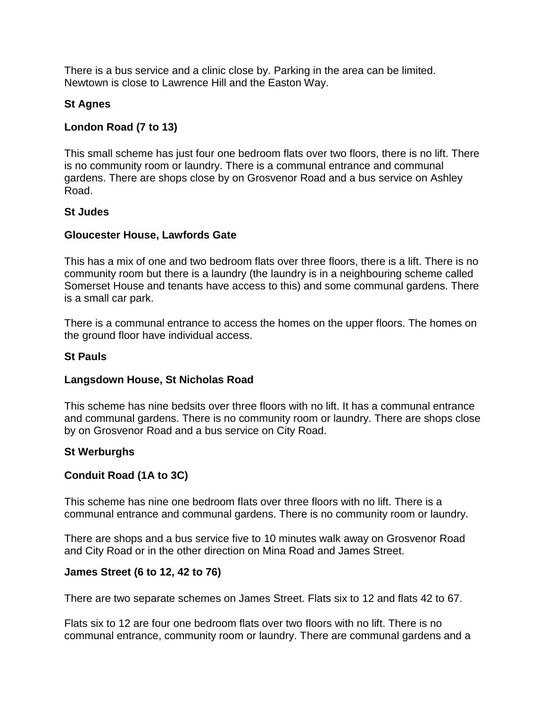There is a bus service and a clinic close by. Parking in the area can be limited. Newtown is close to Lawrence Hill and the Easton Way.

# **St Agnes**

# **London Road (7 to 13)**

This small scheme has just four one bedroom flats over two floors, there is no lift. There is no community room or laundry. There is a communal entrance and communal gardens. There are shops close by on Grosvenor Road and a bus service on Ashley Road.

# **St Judes**

# **Gloucester House, Lawfords Gate**

This has a mix of one and two bedroom flats over three floors, there is a lift. There is no community room but there is a laundry (the laundry is in a neighbouring scheme called Somerset House and tenants have access to this) and some communal gardens. There is a small car park.

There is a communal entrance to access the homes on the upper floors. The homes on the ground floor have individual access.

# **St Pauls**

# **Langsdown House, St Nicholas Road**

This scheme has nine bedsits over three floors with no lift. It has a communal entrance and communal gardens. There is no community room or laundry. There are shops close by on Grosvenor Road and a bus service on City Road.

# **St Werburghs**

# **Conduit Road (1A to 3C)**

This scheme has nine one bedroom flats over three floors with no lift. There is a communal entrance and communal gardens. There is no community room or laundry.

There are shops and a bus service five to 10 minutes walk away on Grosvenor Road and City Road or in the other direction on Mina Road and James Street.

# **James Street (6 to 12, 42 to 76)**

There are two separate schemes on James Street. Flats six to 12 and flats 42 to 67.

Flats six to 12 are four one bedroom flats over two floors with no lift. There is no communal entrance, community room or laundry. There are communal gardens and a